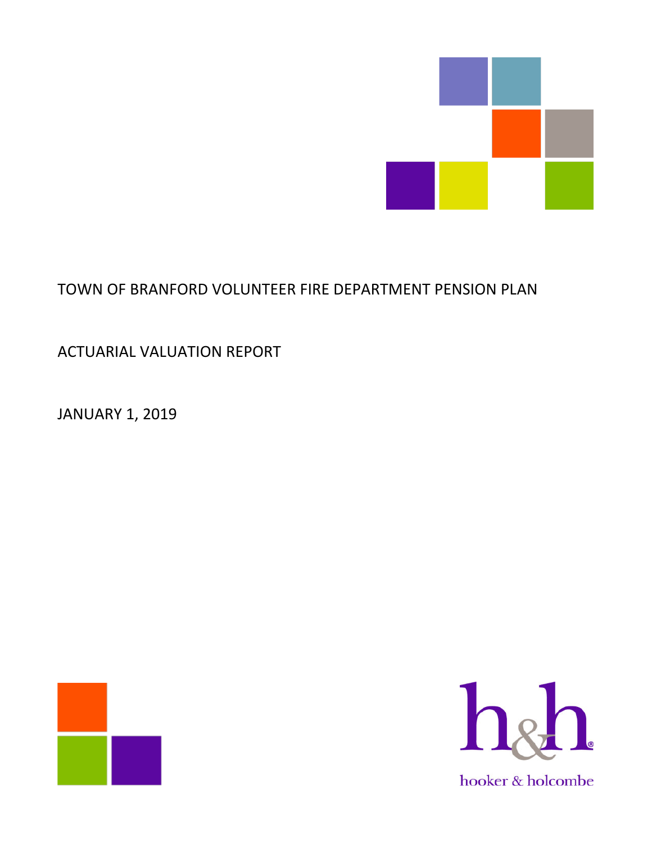

# TOWN OF BRANFORD VOLUNTEER FIRE DEPARTMENT PENSION PLAN

ACTUARIAL VALUATION REPORT

JANUARY 1, 2019



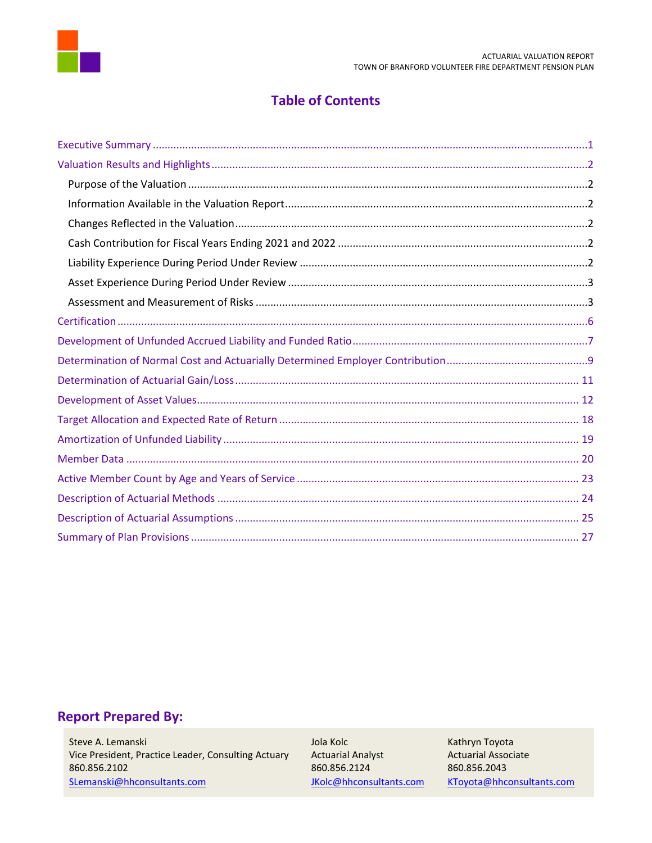

# **Table of Contents**

# **Report Prepared By:**

Steve A. Lemanski Vice President, Practice Leader, Consulting Actuary 860.856.2102 SLemanski@hhconsultants.com

Jola Kolc **Actuarial Analyst** 860.856.2124 JKolc@hhconsultants.com Kathryn Toyota **Actuarial Associate** 860.856.2043 KToyota@hhconsultants.com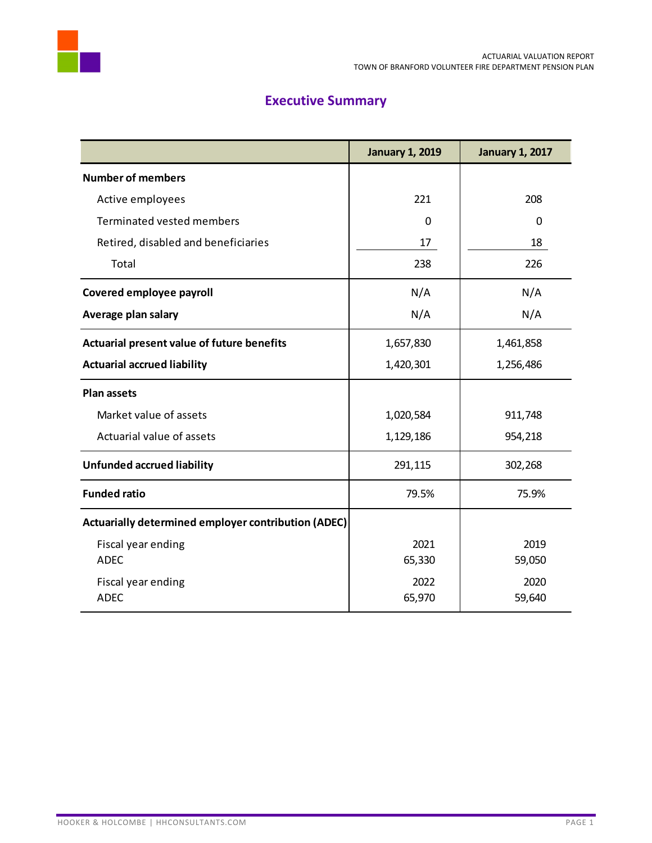

# **Executive Summary**

<span id="page-2-0"></span>

|                                                     | <b>January 1, 2019</b> | <b>January 1, 2017</b> |
|-----------------------------------------------------|------------------------|------------------------|
| <b>Number of members</b>                            |                        |                        |
| Active employees                                    | 221                    | 208                    |
| Terminated vested members                           | 0                      | 0                      |
| Retired, disabled and beneficiaries                 | 17                     | 18                     |
| Total                                               | 238                    | 226                    |
| Covered employee payroll                            | N/A                    | N/A                    |
| Average plan salary                                 | N/A                    | N/A                    |
| Actuarial present value of future benefits          | 1,657,830              | 1,461,858              |
| <b>Actuarial accrued liability</b>                  | 1,420,301              | 1,256,486              |
| <b>Plan assets</b>                                  |                        |                        |
| Market value of assets                              | 1,020,584              | 911,748                |
| Actuarial value of assets                           | 1,129,186              | 954,218                |
| <b>Unfunded accrued liability</b>                   | 291,115                | 302,268                |
| <b>Funded ratio</b>                                 | 79.5%                  | 75.9%                  |
| Actuarially determined employer contribution (ADEC) |                        |                        |
| Fiscal year ending                                  | 2021                   | 2019                   |
| <b>ADEC</b>                                         | 65,330                 | 59,050                 |
| Fiscal year ending                                  | 2022                   | 2020                   |
| <b>ADEC</b>                                         | 65,970                 | 59,640                 |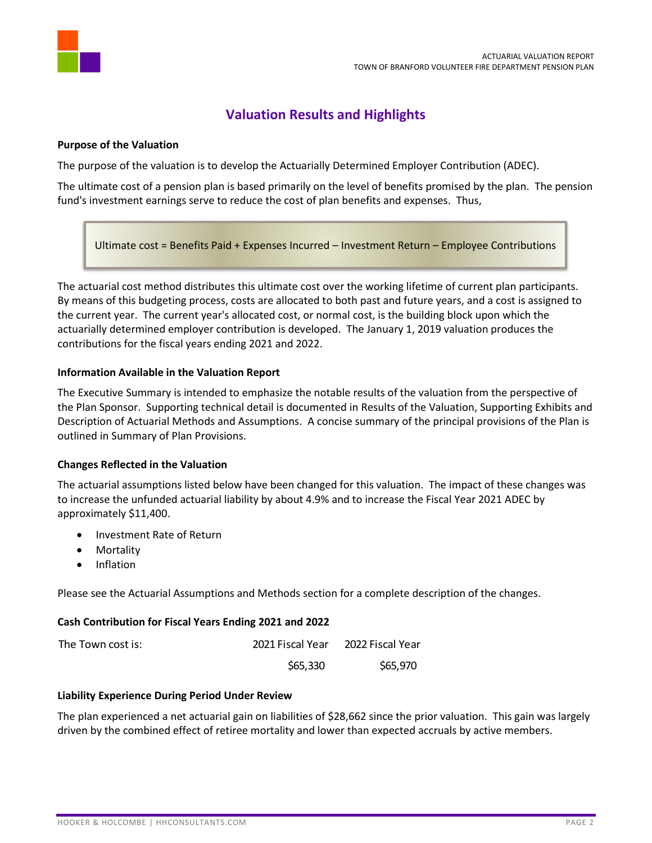

# **Valuation Results and Highlights**

#### <span id="page-3-1"></span><span id="page-3-0"></span>**Purpose of the Valuation**

The purpose of the valuation is to develop the Actuarially Determined Employer Contribution (ADEC).

The ultimate cost of a pension plan is based primarily on the level of benefits promised by the plan. The pension fund's investment earnings serve to reduce the cost of plan benefits and expenses. Thus,

Ultimate cost = Benefits Paid + Expenses Incurred – Investment Return – Employee Contributions

The actuarial cost method distributes this ultimate cost over the working lifetime of current plan participants. By means of this budgeting process, costs are allocated to both past and future years, and a cost is assigned to the current year. The current year's allocated cost, or normal cost, is the building block upon which the actuarially determined employer contribution is developed. The January 1, 2019 valuation produces the contributions for the fiscal years ending 2021 and 2022.

#### <span id="page-3-2"></span>**Information Available in the Valuation Report**

The Executive Summary is intended to emphasize the notable results of the valuation from the perspective of the Plan Sponsor. Supporting technical detail is documented in Results of the Valuation, Supporting Exhibits and Description of Actuarial Methods and Assumptions. A concise summary of the principal provisions of the Plan is outlined in Summary of Plan Provisions.

#### <span id="page-3-3"></span>**Changes Reflected in the Valuation**

The actuarial assumptions listed below have been changed for this valuation. The impact of these changes was to increase the unfunded actuarial liability by about 4.9% and to increase the Fiscal Year 2021 ADEC by approximately \$11,400.

- Investment Rate of Return
- Mortality
- Inflation

Please see the Actuarial Assumptions and Methods section for a complete description of the changes.

#### <span id="page-3-4"></span>**Cash Contribution for Fiscal Years Ending 2021 and 2022**

| The Town cost is: | 2021 Fiscal Year | 2022 Fiscal Year |
|-------------------|------------------|------------------|
|                   | \$65,330         | \$65,970         |

#### <span id="page-3-5"></span>**Liability Experience During Period Under Review**

The plan experienced a net actuarial gain on liabilities of \$28,662 since the prior valuation. This gain was largely driven by the combined effect of retiree mortality and lower than expected accruals by active members.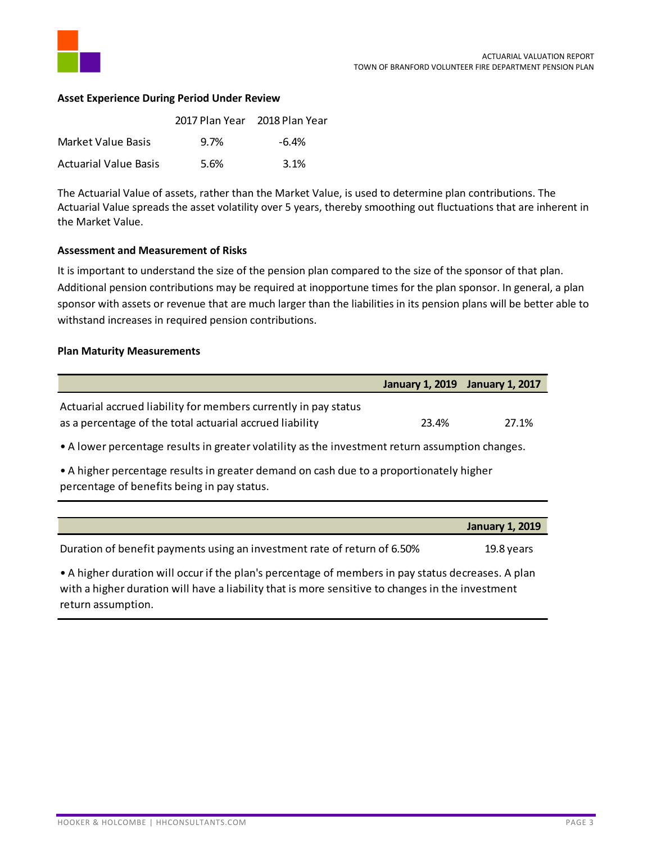

#### <span id="page-4-0"></span>**Asset Experience During Period Under Review**

|                              | 2017 Plan Year 2018 Plan Year |       |
|------------------------------|-------------------------------|-------|
| Market Value Basis           | 9.7%                          | -6.4% |
| <b>Actuarial Value Basis</b> | 5.6%                          | 3.1%  |

The Actuarial Value of assets, rather than the Market Value, is used to determine plan contributions. The Actuarial Value spreads the asset volatility over 5 years, thereby smoothing out fluctuations that are inherent in the Market Value.

#### <span id="page-4-1"></span>**Assessment and Measurement of Risks**

It is important to understand the size of the pension plan compared to the size of the sponsor of that plan. Additional pension contributions may be required at inopportune times for the plan sponsor. In general, a plan sponsor with assets or revenue that are much larger than the liabilities in its pension plans will be better able to withstand increases in required pension contributions.

#### **Plan Maturity Measurements**

|                                                                                                                                        | January 1, 2019 January 1, 2017 |             |
|----------------------------------------------------------------------------------------------------------------------------------------|---------------------------------|-------------|
| Actuarial accrued liability for members currently in pay status<br>as a percentage of the total actuarial accrued liability            | 23.4%                           | 27.1%       |
| • A lower percentage results in greater volatility as the investment return assumption changes.                                        |                                 |             |
| • A higher percentage results in greater demand on cash due to a proportionately higher<br>percentage of benefits being in pay status. |                                 |             |
|                                                                                                                                        |                                 | 1.4.1.1.1.1 |

**January 1, 2019** Duration of benefit payments using an investment rate of return of 6.50% 19.8 years • A higher duration will occur if the plan's percentage of members in pay status decreases. A plan with a higher duration will have a liability that is more sensitive to changes in the investment return assumption.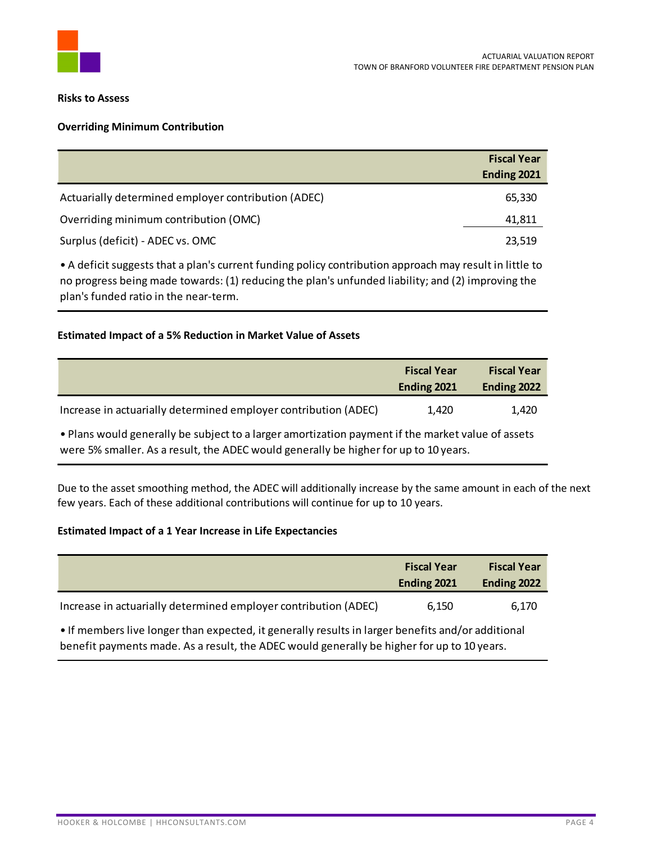

#### **Risks to Assess**

#### **Overriding Minimum Contribution**

|                                                     | <b>Fiscal Year</b> |
|-----------------------------------------------------|--------------------|
|                                                     | Ending 2021        |
| Actuarially determined employer contribution (ADEC) | 65,330             |
| Overriding minimum contribution (OMC)               | 41,811             |
| Surplus (deficit) - ADEC vs. OMC                    | 23,519             |

• A deficit suggests that a plan's current funding policy contribution approach may result in little to no progress being made towards: (1) reducing the plan's unfunded liability; and (2) improving the plan's funded ratio in the near-term.

#### **Estimated Impact of a 5% Reduction in Market Value of Assets**

|                                                                 | <b>Fiscal Year</b><br>Ending 2021 | <b>Fiscal Year</b><br>Ending 2022 |
|-----------------------------------------------------------------|-----------------------------------|-----------------------------------|
| Increase in actuarially determined employer contribution (ADEC) | 1.420                             | 1.420                             |

• Plans would generally be subject to a larger amortization payment if the market value of assets were 5% smaller. As a result, the ADEC would generally be higher for up to 10 years.

Due to the asset smoothing method, the ADEC will additionally increase by the same amount in each of the next few years. Each of these additional contributions will continue for up to 10 years.

#### **Estimated Impact of a 1 Year Increase in Life Expectancies**

|                                                                 | <b>Fiscal Year</b><br>Ending 2021 | <b>Fiscal Year</b><br>Ending 2022 |
|-----------------------------------------------------------------|-----------------------------------|-----------------------------------|
| Increase in actuarially determined employer contribution (ADEC) | 6.150                             | 6.170                             |

• If members live longer than expected, it generally results in larger benefits and/or additional benefit payments made. As a result, the ADEC would generally be higher for up to 10 years.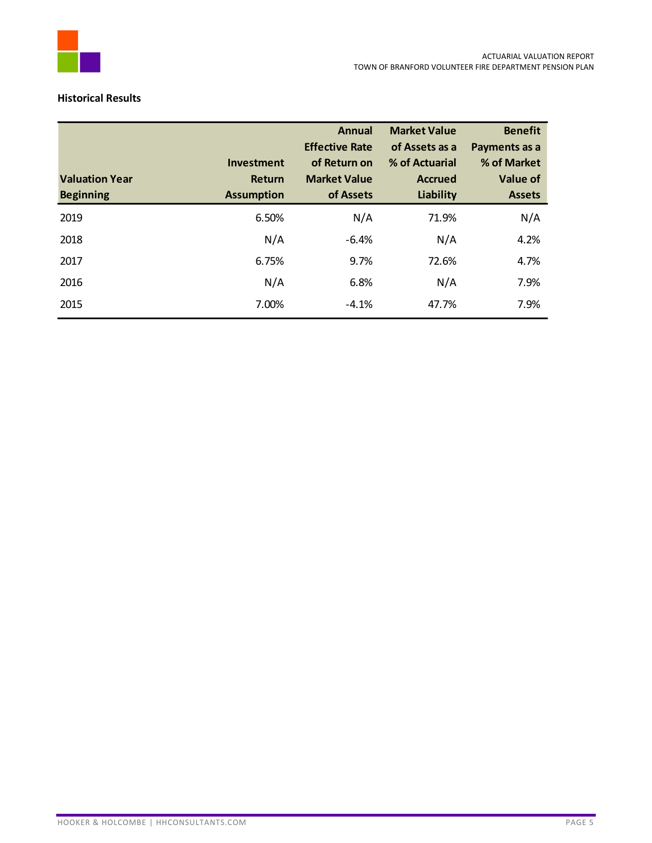

#### **Historical Results**

|                       |                             | <b>Annual</b>                       | <b>Market Value</b>              | <b>Benefit</b>          |
|-----------------------|-----------------------------|-------------------------------------|----------------------------------|-------------------------|
|                       |                             | <b>Effective Rate</b>               | of Assets as a                   | Payments as a           |
| <b>Valuation Year</b> | <b>Investment</b><br>Return | of Return on<br><b>Market Value</b> | % of Actuarial<br><b>Accrued</b> | % of Market<br>Value of |
| <b>Beginning</b>      | <b>Assumption</b>           | of Assets                           | Liability                        | <b>Assets</b>           |
| 2019                  | 6.50%                       | N/A                                 | 71.9%                            | N/A                     |
| 2018                  | N/A                         | $-6.4%$                             | N/A                              | 4.2%                    |
| 2017                  | 6.75%                       | 9.7%                                | 72.6%                            | 4.7%                    |
| 2016                  | N/A                         | 6.8%                                | N/A                              | 7.9%                    |
| 2015                  | 7.00%                       | $-4.1%$                             | 47.7%                            | 7.9%                    |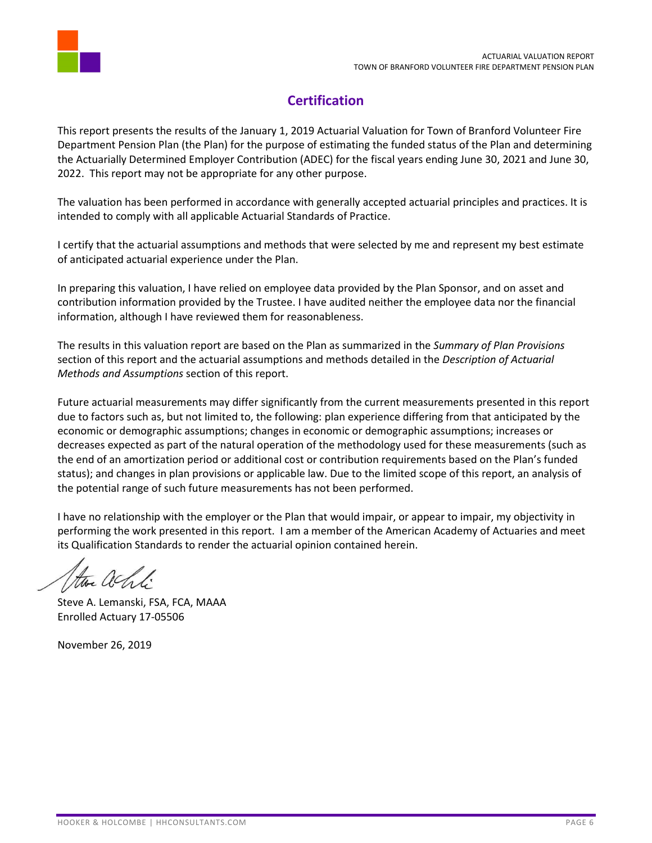

# **Certification**

<span id="page-7-0"></span>This report presents the results of the January 1, 2019 Actuarial Valuation for Town of Branford Volunteer Fire Department Pension Plan (the Plan) for the purpose of estimating the funded status of the Plan and determining the Actuarially Determined Employer Contribution (ADEC) for the fiscal years ending June 30, 2021 and June 30, 2022. This report may not be appropriate for any other purpose.

The valuation has been performed in accordance with generally accepted actuarial principles and practices. It is intended to comply with all applicable Actuarial Standards of Practice.

I certify that the actuarial assumptions and methods that were selected by me and represent my best estimate of anticipated actuarial experience under the Plan.

In preparing this valuation, I have relied on employee data provided by the Plan Sponsor, and on asset and contribution information provided by the Trustee. I have audited neither the employee data nor the financial information, although I have reviewed them for reasonableness.

The results in this valuation report are based on the Plan as summarized in the *Summary of Plan Provisions* section of this report and the actuarial assumptions and methods detailed in the *Description of Actuarial Methods and Assumptions* section of this report.

Future actuarial measurements may differ significantly from the current measurements presented in this report due to factors such as, but not limited to, the following: plan experience differing from that anticipated by the economic or demographic assumptions; changes in economic or demographic assumptions; increases or decreases expected as part of the natural operation of the methodology used for these measurements (such as the end of an amortization period or additional cost or contribution requirements based on the Plan's funded status); and changes in plan provisions or applicable law. Due to the limited scope of this report, an analysis of the potential range of such future measurements has not been performed.

I have no relationship with the employer or the Plan that would impair, or appear to impair, my objectivity in performing the work presented in this report. I am a member of the American Academy of Actuaries and meet its Qualification Standards to render the actuarial opinion contained herein.

the achti

Steve A. Lemanski, FSA, FCA, MAAA Enrolled Actuary 17-05506

November 26, 2019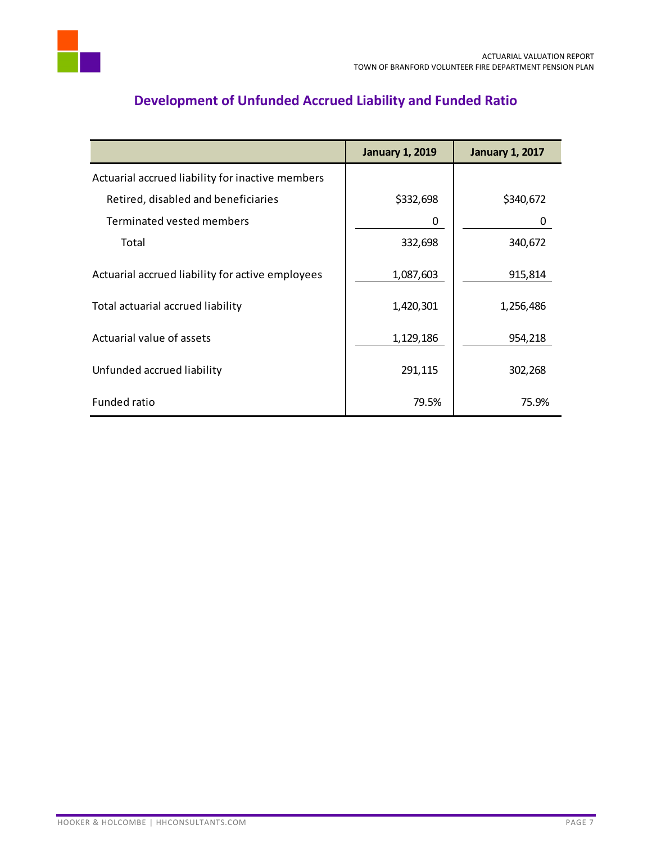

# **Development of Unfunded Accrued Liability and Funded Ratio**

<span id="page-8-0"></span>

|                                                  | <b>January 1, 2019</b> | <b>January 1, 2017</b> |
|--------------------------------------------------|------------------------|------------------------|
| Actuarial accrued liability for inactive members |                        |                        |
| Retired, disabled and beneficiaries              | \$332,698              | \$340,672              |
| Terminated vested members                        | 0                      | 0                      |
| Total                                            | 332,698                | 340,672                |
| Actuarial accrued liability for active employees | 1,087,603              | 915,814                |
| Total actuarial accrued liability                | 1,420,301              | 1,256,486              |
| Actuarial value of assets                        | 1,129,186              | 954,218                |
| Unfunded accrued liability                       | 291,115                | 302,268                |
| Funded ratio                                     | 79.5%                  | 75.9%                  |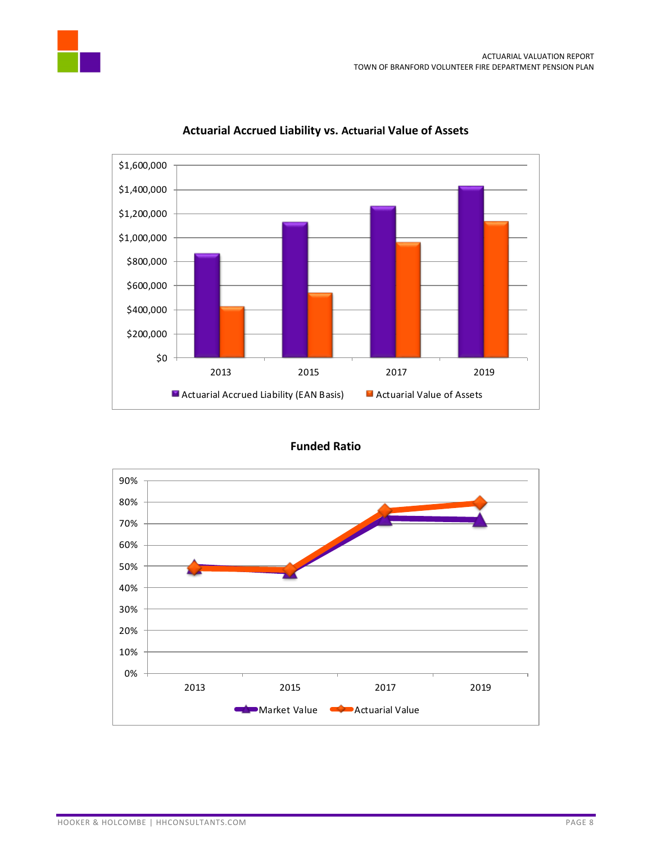





### **Actuarial Accrued Liability vs. Actuarial Value of Assets**

**Funded Ratio**

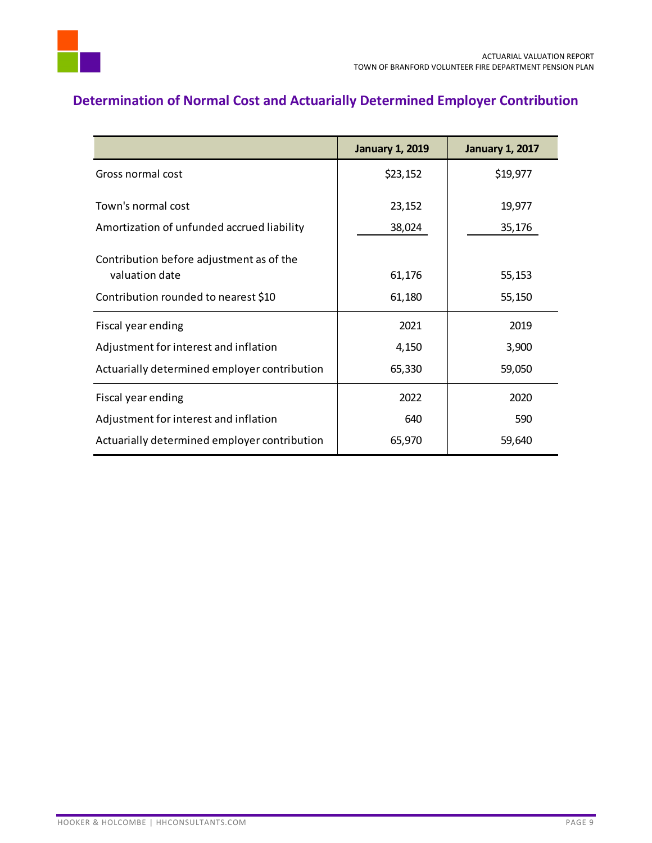

# <span id="page-10-0"></span>**Determination of Normal Cost and Actuarially Determined Employer Contribution**

|                                                            | <b>January 1, 2019</b> | <b>January 1, 2017</b> |
|------------------------------------------------------------|------------------------|------------------------|
| Gross normal cost                                          | \$23,152               | \$19,977               |
| Town's normal cost                                         | 23,152                 | 19,977                 |
| Amortization of unfunded accrued liability                 | 38,024                 | 35,176                 |
| Contribution before adjustment as of the<br>valuation date | 61,176                 | 55,153                 |
| Contribution rounded to nearest \$10                       | 61,180                 | 55,150                 |
| Fiscal year ending                                         | 2021                   | 2019                   |
| Adjustment for interest and inflation                      | 4,150                  | 3,900                  |
| Actuarially determined employer contribution               | 65,330                 | 59,050                 |
| Fiscal year ending                                         | 2022                   | 2020                   |
| Adjustment for interest and inflation                      | 640                    | 590                    |
| Actuarially determined employer contribution               | 65,970                 | 59,640                 |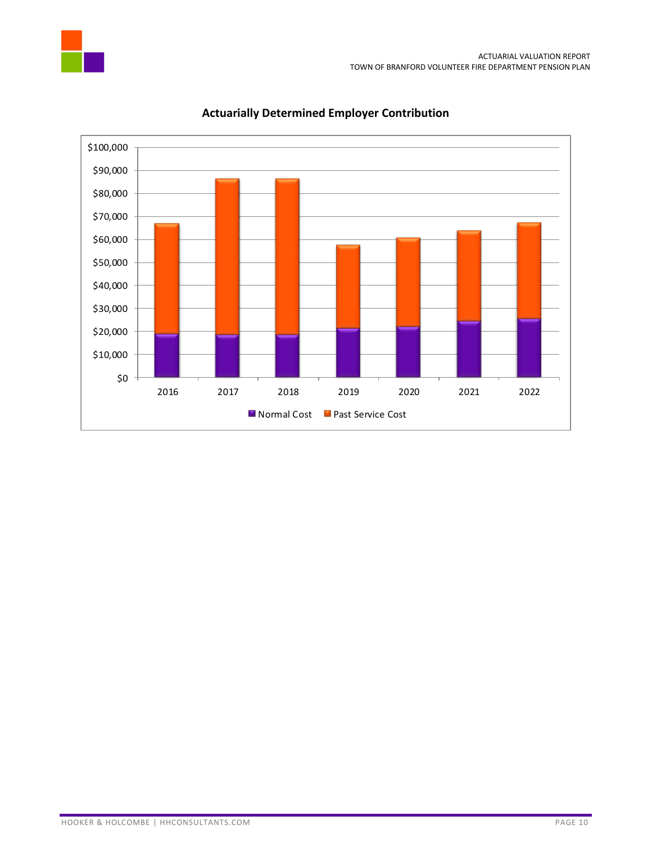



### **Actuarially Determined Employer Contribution**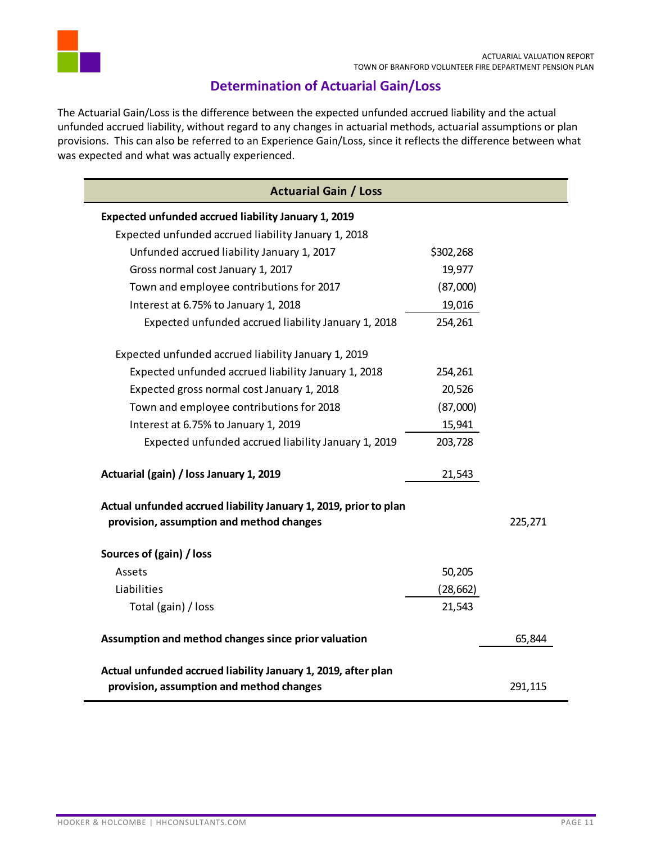

### **Determination of Actuarial Gain/Loss**

<span id="page-12-0"></span>The Actuarial Gain/Loss is the difference between the expected unfunded accrued liability and the actual unfunded accrued liability, without regard to any changes in actuarial methods, actuarial assumptions or plan provisions. This can also be referred to an Experience Gain/Loss, since it reflects the difference between what was expected and what was actually experienced.

| <b>Actuarial Gain / Loss</b>                                                                                 |           |         |
|--------------------------------------------------------------------------------------------------------------|-----------|---------|
| Expected unfunded accrued liability January 1, 2019                                                          |           |         |
| Expected unfunded accrued liability January 1, 2018                                                          |           |         |
| Unfunded accrued liability January 1, 2017                                                                   | \$302,268 |         |
| Gross normal cost January 1, 2017                                                                            | 19,977    |         |
| Town and employee contributions for 2017                                                                     | (87,000)  |         |
| Interest at 6.75% to January 1, 2018                                                                         | 19,016    |         |
| Expected unfunded accrued liability January 1, 2018                                                          | 254,261   |         |
| Expected unfunded accrued liability January 1, 2019                                                          |           |         |
| Expected unfunded accrued liability January 1, 2018                                                          | 254,261   |         |
| Expected gross normal cost January 1, 2018                                                                   | 20,526    |         |
| Town and employee contributions for 2018                                                                     | (87,000)  |         |
| Interest at 6.75% to January 1, 2019                                                                         | 15,941    |         |
| Expected unfunded accrued liability January 1, 2019                                                          | 203,728   |         |
| Actuarial (gain) / loss January 1, 2019                                                                      | 21,543    |         |
| Actual unfunded accrued liability January 1, 2019, prior to plan<br>provision, assumption and method changes |           | 225,271 |
| Sources of (gain) / loss                                                                                     |           |         |
| Assets                                                                                                       | 50,205    |         |
| Liabilities                                                                                                  | (28, 662) |         |
| Total (gain) / loss                                                                                          | 21,543    |         |
| Assumption and method changes since prior valuation                                                          |           | 65,844  |
| Actual unfunded accrued liability January 1, 2019, after plan                                                |           |         |
| provision, assumption and method changes                                                                     |           | 291,115 |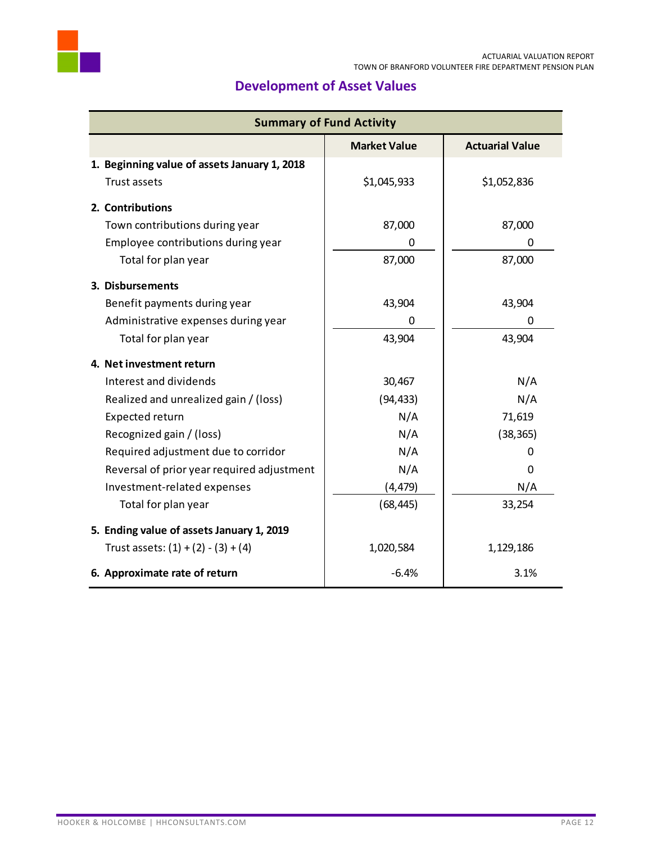

<span id="page-13-0"></span>

| <b>Summary of Fund Activity</b>              |                     |                        |  |  |
|----------------------------------------------|---------------------|------------------------|--|--|
|                                              | <b>Market Value</b> | <b>Actuarial Value</b> |  |  |
| 1. Beginning value of assets January 1, 2018 |                     |                        |  |  |
| Trust assets                                 | \$1,045,933         | \$1,052,836            |  |  |
| 2. Contributions                             |                     |                        |  |  |
| Town contributions during year               | 87,000              | 87,000                 |  |  |
| Employee contributions during year           | 0                   | 0                      |  |  |
| Total for plan year                          | 87,000              | 87,000                 |  |  |
| 3. Disbursements                             |                     |                        |  |  |
| Benefit payments during year                 | 43,904              | 43,904                 |  |  |
| Administrative expenses during year          | 0                   | 0                      |  |  |
| Total for plan year                          | 43,904              | 43,904                 |  |  |
| 4. Net investment return                     |                     |                        |  |  |
| Interest and dividends                       | 30,467              | N/A                    |  |  |
| Realized and unrealized gain / (loss)        | (94, 433)           | N/A                    |  |  |
| Expected return                              | N/A                 | 71,619                 |  |  |
| Recognized gain / (loss)                     | N/A                 | (38, 365)              |  |  |
| Required adjustment due to corridor          | N/A                 | O                      |  |  |
| Reversal of prior year required adjustment   | N/A                 | 0                      |  |  |
| Investment-related expenses                  | (4, 479)            | N/A                    |  |  |
| Total for plan year                          | (68, 445)           | 33,254                 |  |  |
| 5. Ending value of assets January 1, 2019    |                     |                        |  |  |
| Trust assets: $(1) + (2) - (3) + (4)$        | 1,020,584           | 1,129,186              |  |  |
| 6. Approximate rate of return                | $-6.4%$             | 3.1%                   |  |  |

# **Development of Asset Values**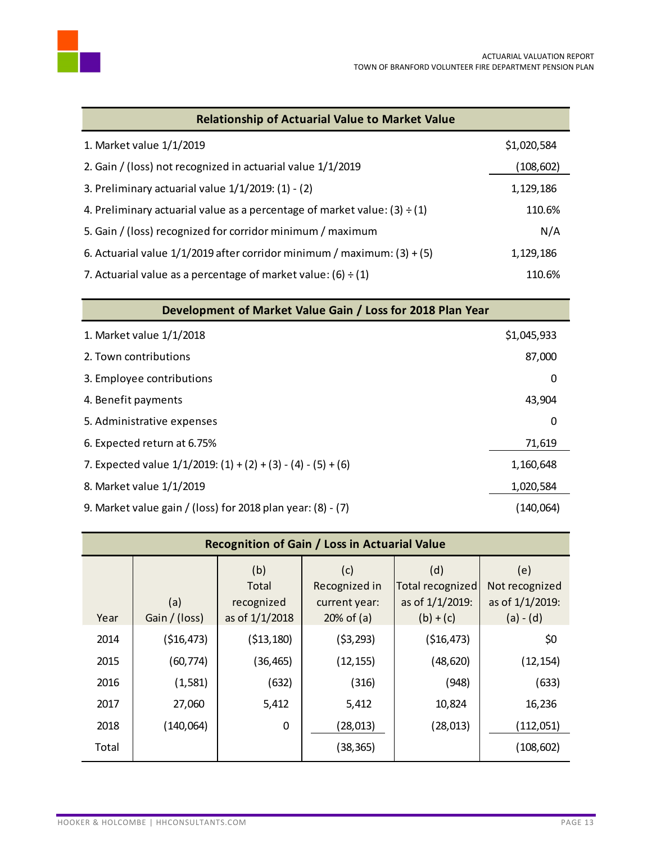

| <b>Relationship of Actuarial Value to Market Value</b>                         |             |
|--------------------------------------------------------------------------------|-------------|
| 1. Market value 1/1/2019                                                       | \$1,020,584 |
| 2. Gain / (loss) not recognized in actuarial value 1/1/2019                    | (108, 602)  |
| 3. Preliminary actuarial value $1/1/2019$ : $(1) - (2)$                        | 1,129,186   |
| 4. Preliminary actuarial value as a percentage of market value: $(3) \div (1)$ | 110.6%      |
| 5. Gain / (loss) recognized for corridor minimum / maximum                     | N/A         |
| 6. Actuarial value $1/1/2019$ after corridor minimum / maximum: (3) + (5)      | 1,129,186   |
| 7. Actuarial value as a percentage of market value: (6) $\div$ (1)             | 110.6%      |

| Development of Market Value Gain / Loss for 2018 Plan Year         |             |  |  |
|--------------------------------------------------------------------|-------------|--|--|
| 1. Market value 1/1/2018                                           | \$1,045,933 |  |  |
| 2. Town contributions                                              | 87,000      |  |  |
| 3. Employee contributions                                          | 0           |  |  |
| 4. Benefit payments                                                | 43,904      |  |  |
| 5. Administrative expenses                                         | 0           |  |  |
| 6. Expected return at 6.75%                                        | 71,619      |  |  |
| 7. Expected value $1/1/2019$ : $(1) + (2) + (3) - (4) - (5) + (6)$ | 1,160,648   |  |  |
| 8. Market value 1/1/2019                                           | 1,020,584   |  |  |
| 9. Market value gain / (loss) for 2018 plan year: (8) - (7)        | (140,064)   |  |  |

| <b>Recognition of Gain / Loss in Actuarial Value</b> |                      |                                              |                                                        |                                                           |                                                         |
|------------------------------------------------------|----------------------|----------------------------------------------|--------------------------------------------------------|-----------------------------------------------------------|---------------------------------------------------------|
| Year                                                 | (a)<br>Gain / (loss) | (b)<br>Total<br>recognized<br>as of 1/1/2018 | (c)<br>Recognized in<br>current year:<br>$20\%$ of (a) | (d)<br>Total recognized<br>as of 1/1/2019:<br>$(b) + (c)$ | (e)<br>Not recognized<br>as of 1/1/2019:<br>$(a) - (d)$ |
| 2014                                                 | ( \$16,473)          | ( \$13, 180)                                 | (53, 293)                                              | ( \$16,473)                                               | \$0                                                     |
| 2015                                                 | (60, 774)            | (36, 465)                                    | (12, 155)                                              | (48, 620)                                                 | (12, 154)                                               |
| 2016                                                 | (1, 581)             | (632)                                        | (316)                                                  | (948)                                                     | (633)                                                   |
| 2017                                                 | 27,060               | 5,412                                        | 5,412                                                  | 10,824                                                    | 16,236                                                  |
| 2018                                                 | (140,064)            | $\mathbf 0$                                  | (28, 013)                                              | (28, 013)                                                 | (112,051)                                               |
| Total                                                |                      |                                              | (38, 365)                                              |                                                           | (108, 602)                                              |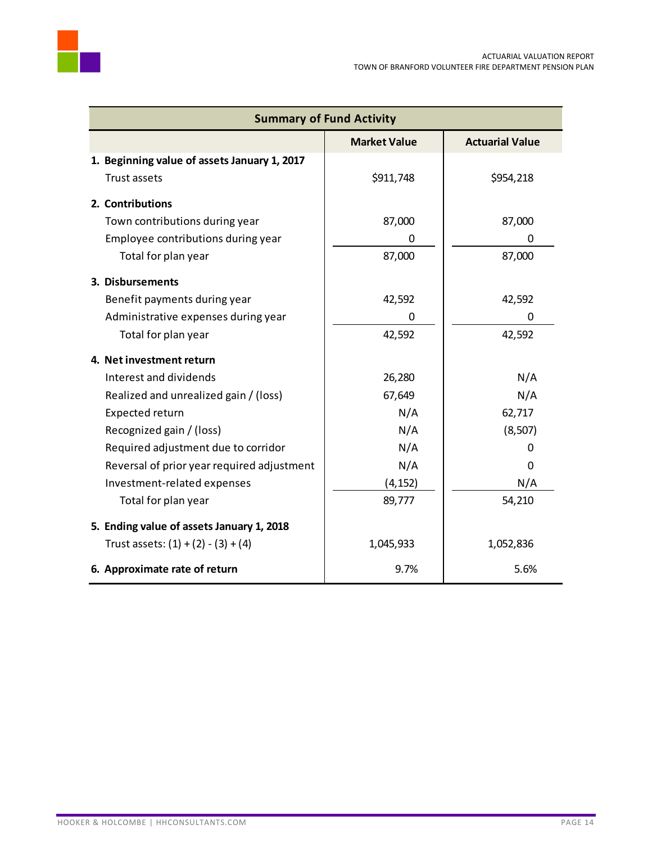

| <b>Summary of Fund Activity</b>              |                     |                        |  |  |
|----------------------------------------------|---------------------|------------------------|--|--|
|                                              | <b>Market Value</b> | <b>Actuarial Value</b> |  |  |
| 1. Beginning value of assets January 1, 2017 |                     |                        |  |  |
| <b>Trust assets</b>                          | \$911,748           | \$954,218              |  |  |
| 2. Contributions                             |                     |                        |  |  |
| Town contributions during year               | 87,000              | 87,000                 |  |  |
| Employee contributions during year           | 0                   | 0                      |  |  |
| Total for plan year                          | 87,000              | 87,000                 |  |  |
| 3. Disbursements                             |                     |                        |  |  |
| Benefit payments during year                 | 42,592              | 42,592                 |  |  |
| Administrative expenses during year          | 0                   | 0                      |  |  |
| Total for plan year                          | 42,592              | 42,592                 |  |  |
| 4. Net investment return                     |                     |                        |  |  |
| Interest and dividends                       | 26,280              | N/A                    |  |  |
| Realized and unrealized gain / (loss)        | 67,649              | N/A                    |  |  |
| Expected return                              | N/A                 | 62,717                 |  |  |
| Recognized gain / (loss)                     | N/A                 | (8, 507)               |  |  |
| Required adjustment due to corridor          | N/A                 | 0                      |  |  |
| Reversal of prior year required adjustment   | N/A                 | 0                      |  |  |
| Investment-related expenses                  | (4, 152)            | N/A                    |  |  |
| Total for plan year                          | 89,777              | 54,210                 |  |  |
| 5. Ending value of assets January 1, 2018    |                     |                        |  |  |
| Trust assets: $(1) + (2) - (3) + (4)$        | 1,045,933           | 1,052,836              |  |  |
| 6. Approximate rate of return                | 9.7%                | 5.6%                   |  |  |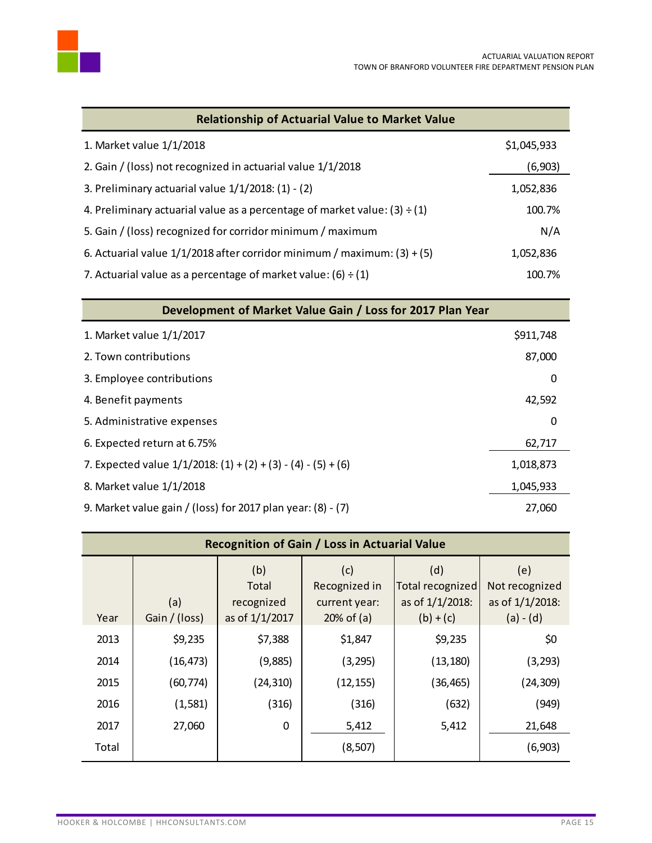

| <b>Relationship of Actuarial Value to Market Value</b>                         |             |
|--------------------------------------------------------------------------------|-------------|
| 1. Market value 1/1/2018                                                       | \$1,045,933 |
| 2. Gain / (loss) not recognized in actuarial value 1/1/2018                    | (6,903)     |
| 3. Preliminary actuarial value $1/1/2018$ : (1) - (2)                          | 1,052,836   |
| 4. Preliminary actuarial value as a percentage of market value: $(3) \div (1)$ | 100.7%      |
| 5. Gain / (loss) recognized for corridor minimum / maximum                     | N/A         |
| 6. Actuarial value $1/1/2018$ after corridor minimum / maximum: (3) + (5)      | 1,052,836   |
| 7. Actuarial value as a percentage of market value: $(6) \div (1)$             | 100.7%      |

| Development of Market Value Gain / Loss for 2017 Plan Year         |           |  |  |
|--------------------------------------------------------------------|-----------|--|--|
| 1. Market value 1/1/2017                                           | \$911,748 |  |  |
| 2. Town contributions                                              | 87,000    |  |  |
| 3. Employee contributions                                          | 0         |  |  |
| 4. Benefit payments                                                | 42,592    |  |  |
| 5. Administrative expenses                                         | 0         |  |  |
| 6. Expected return at 6.75%                                        | 62,717    |  |  |
| 7. Expected value $1/1/2018$ : $(1) + (2) + (3) - (4) - (5) + (6)$ | 1,018,873 |  |  |
| 8. Market value 1/1/2018                                           | 1,045,933 |  |  |
| 9. Market value gain / (loss) for 2017 plan year: $(8) - (7)$      | 27,060    |  |  |

| <b>Recognition of Gain / Loss in Actuarial Value</b> |                      |                                              |                                                       |                                                           |                                                         |
|------------------------------------------------------|----------------------|----------------------------------------------|-------------------------------------------------------|-----------------------------------------------------------|---------------------------------------------------------|
| Year                                                 | (a)<br>Gain / (loss) | (b)<br>Total<br>recognized<br>as of 1/1/2017 | (c)<br>Recognized in<br>current year:<br>$20%$ of (a) | (d)<br>Total recognized<br>as of 1/1/2018:<br>$(b) + (c)$ | (e)<br>Not recognized<br>as of 1/1/2018:<br>$(a) - (d)$ |
| 2013                                                 | \$9,235              | \$7,388                                      | \$1,847                                               | \$9,235                                                   | \$0                                                     |
| 2014                                                 | (16, 473)            | (9,885)                                      | (3, 295)                                              | (13, 180)                                                 | (3, 293)                                                |
| 2015                                                 | (60, 774)            | (24, 310)                                    | (12, 155)                                             | (36, 465)                                                 | (24, 309)                                               |
| 2016                                                 | (1, 581)             | (316)                                        | (316)                                                 | (632)                                                     | (949)                                                   |
| 2017                                                 | 27,060               | $\mathbf 0$                                  | 5,412                                                 | 5,412                                                     | 21,648                                                  |
| Total                                                |                      |                                              | (8, 507)                                              |                                                           | (6, 903)                                                |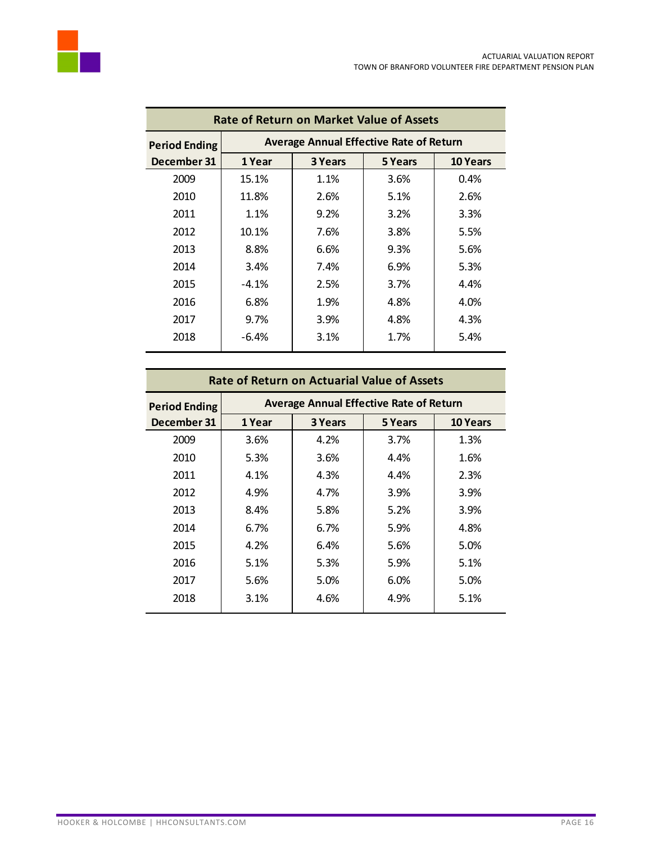

| <b>Rate of Return on Market Value of Assets</b> |         |                                                |         |                 |  |
|-------------------------------------------------|---------|------------------------------------------------|---------|-----------------|--|
| <b>Period Ending</b>                            |         | <b>Average Annual Effective Rate of Return</b> |         |                 |  |
| December 31                                     | 1 Year  | 3 Years                                        | 5 Years | <b>10 Years</b> |  |
| 2009                                            | 15.1%   | 1.1%                                           | 3.6%    | 0.4%            |  |
| 2010                                            | 11.8%   | 2.6%                                           | 5.1%    | 2.6%            |  |
| 2011                                            | 1.1%    | 9.2%                                           | 3.2%    | 3.3%            |  |
| 2012                                            | 10.1%   | 7.6%                                           | 3.8%    | 5.5%            |  |
| 2013                                            | 8.8%    | 6.6%                                           | 9.3%    | 5.6%            |  |
| 2014                                            | 3.4%    | 7.4%                                           | 6.9%    | 5.3%            |  |
| 2015                                            | $-4.1%$ | 2.5%                                           | 3.7%    | 4.4%            |  |
| 2016                                            | 6.8%    | 1.9%                                           | 4.8%    | 4.0%            |  |
| 2017                                            | $9.7\%$ | 3.9%                                           | 4.8%    | 4.3%            |  |
| 2018                                            | $-6.4%$ | 3.1%                                           | 1.7%    | 5.4%            |  |
|                                                 |         |                                                |         |                 |  |

| <b>Rate of Return on Actuarial Value of Assets</b> |        |                                                |         |                 |  |
|----------------------------------------------------|--------|------------------------------------------------|---------|-----------------|--|
| <b>Period Ending</b>                               |        | <b>Average Annual Effective Rate of Return</b> |         |                 |  |
| December 31                                        | 1 Year | 3 Years                                        | 5 Years | <b>10 Years</b> |  |
| 2009                                               | 3.6%   | 4.2%                                           | 3.7%    | 1.3%            |  |
| 2010                                               | 5.3%   | 3.6%                                           | 4.4%    | 1.6%            |  |
| 2011                                               | 4.1%   | 4.3%                                           | 4.4%    | 2.3%            |  |
| 2012                                               | 4.9%   | 4.7%                                           | 3.9%    | 3.9%            |  |
| 2013                                               | 8.4%   | 5.8%                                           | 5.2%    | 3.9%            |  |
| 2014                                               | 6.7%   | 6.7%                                           | 5.9%    | 4.8%            |  |
| 2015                                               | 4.2%   | 6.4%                                           | 5.6%    | 5.0%            |  |
| 2016                                               | 5.1%   | 5.3%                                           | 5.9%    | 5.1%            |  |
| 2017                                               | 5.6%   | 5.0%                                           | 6.0%    | 5.0%            |  |
| 2018                                               | 3.1%   | 4.6%                                           | 4.9%    | 5.1%            |  |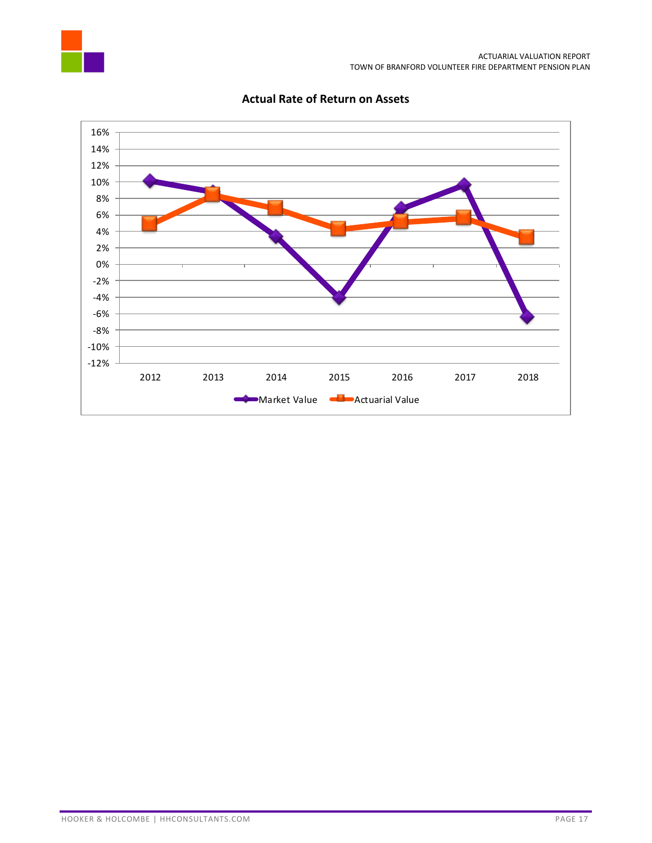



#### **Actual Rate of Return on Assets**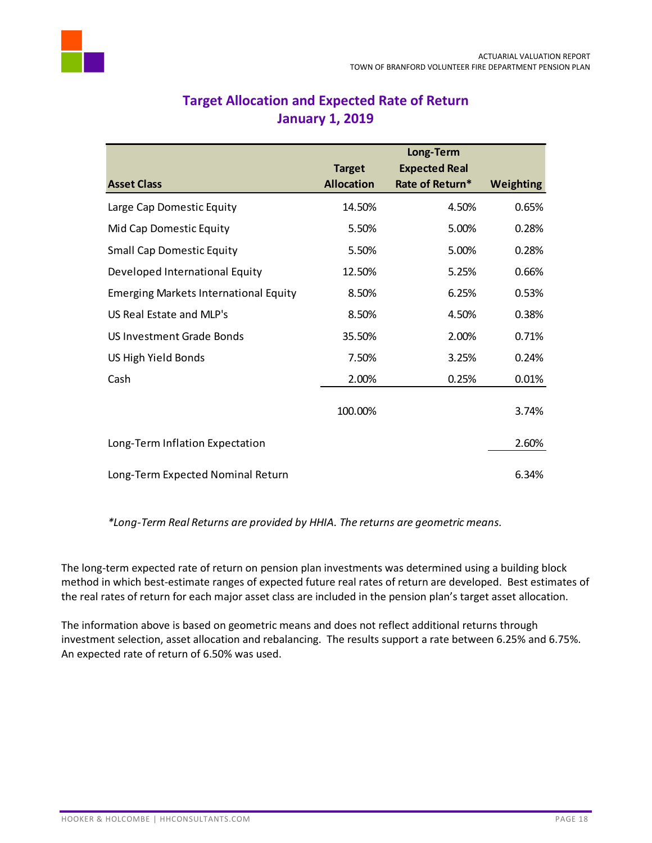<span id="page-19-0"></span>

|                                              | <b>Target</b>     | Long-Term<br><b>Expected Real</b> |                  |
|----------------------------------------------|-------------------|-----------------------------------|------------------|
| <b>Asset Class</b>                           | <b>Allocation</b> | Rate of Return*                   | <b>Weighting</b> |
| Large Cap Domestic Equity                    | 14.50%            | 4.50%                             | 0.65%            |
| Mid Cap Domestic Equity                      | 5.50%             | 5.00%                             | 0.28%            |
| <b>Small Cap Domestic Equity</b>             | 5.50%             | 5.00%                             | 0.28%            |
| Developed International Equity               | 12.50%            | 5.25%                             | 0.66%            |
| <b>Emerging Markets International Equity</b> | 8.50%             | 6.25%                             | 0.53%            |
| US Real Estate and MLP's                     | 8.50%             | 4.50%                             | 0.38%            |
| <b>US Investment Grade Bonds</b>             | 35.50%            | 2.00%                             | 0.71%            |
| US High Yield Bonds                          | 7.50%             | 3.25%                             | 0.24%            |
| Cash                                         | 2.00%             | 0.25%                             | 0.01%            |
|                                              | 100.00%           |                                   | 3.74%            |
| Long-Term Inflation Expectation              |                   |                                   | 2.60%            |
| Long-Term Expected Nominal Return            |                   |                                   | 6.34%            |

# **Target Allocation and Expected Rate of Return January 1, 2019**

*\*Long-Term Real Returns are provided by HHIA. The returns are geometric means.*

The long-term expected rate of return on pension plan investments was determined using a building block method in which best-estimate ranges of expected future real rates of return are developed. Best estimates of the real rates of return for each major asset class are included in the pension plan's target asset allocation.

The information above is based on geometric means and does not reflect additional returns through investment selection, asset allocation and rebalancing. The results support a rate between 6.25% and 6.75%. An expected rate of return of 6.50% was used.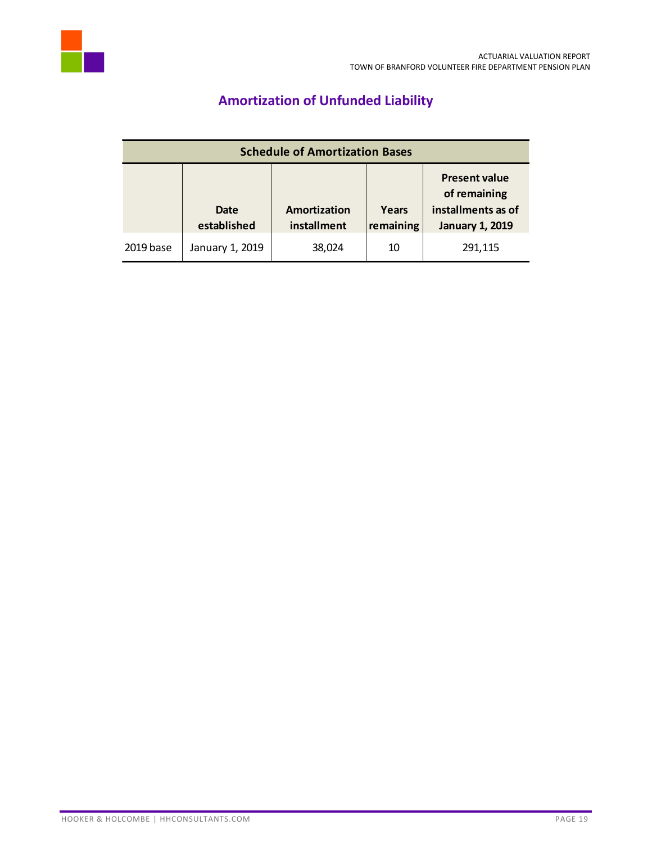<span id="page-20-0"></span>

# **Amortization of Unfunded Liability**

| <b>Schedule of Amortization Bases</b> |                     |                             |                    |                                                                                      |  |
|---------------------------------------|---------------------|-----------------------------|--------------------|--------------------------------------------------------------------------------------|--|
|                                       | Date<br>established | Amortization<br>installment | Years<br>remaining | <b>Present value</b><br>of remaining<br>installments as of<br><b>January 1, 2019</b> |  |
| 2019 base                             | January 1, 2019     | 38,024                      | 10                 | 291,115                                                                              |  |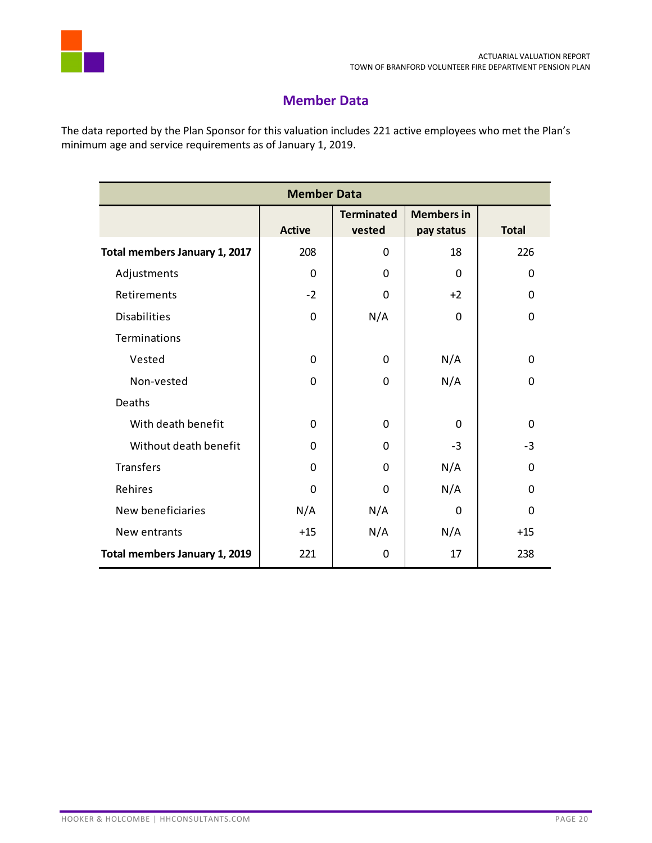

# **Member Data**

<span id="page-21-0"></span>The data reported by the Plan Sponsor for this valuation includes 221 active employees who met the Plan's minimum age and service requirements as of January 1, 2019.

| <b>Member Data</b>            |               |                             |                                 |              |  |  |
|-------------------------------|---------------|-----------------------------|---------------------------------|--------------|--|--|
|                               | <b>Active</b> | <b>Terminated</b><br>vested | <b>Members in</b><br>pay status | <b>Total</b> |  |  |
| Total members January 1, 2017 | 208           | 0                           | 18                              | 226          |  |  |
| Adjustments                   | 0             | 0                           | 0                               | $\mathbf{0}$ |  |  |
| Retirements                   | $-2$          | 0                           | $+2$                            | $\mathbf{0}$ |  |  |
| <b>Disabilities</b>           | 0             | N/A                         | 0                               | 0            |  |  |
| Terminations                  |               |                             |                                 |              |  |  |
| Vested                        | 0             | 0                           | N/A                             | $\mathbf 0$  |  |  |
| Non-vested                    | 0             | 0                           | N/A                             | $\mathbf 0$  |  |  |
| Deaths                        |               |                             |                                 |              |  |  |
| With death benefit            | 0             | 0                           | $\Omega$                        | $\Omega$     |  |  |
| Without death benefit         | $\mathbf 0$   | 0                           | $-3$                            | $-3$         |  |  |
| <b>Transfers</b>              | 0             | 0                           | N/A                             | $\Omega$     |  |  |
| Rehires                       | 0             | 0                           | N/A                             | $\Omega$     |  |  |
| New beneficiaries             | N/A           | N/A                         | 0                               | $\Omega$     |  |  |
| New entrants                  | $+15$         | N/A                         | N/A                             | $+15$        |  |  |
| Total members January 1, 2019 | 221           | 0                           | 17                              | 238          |  |  |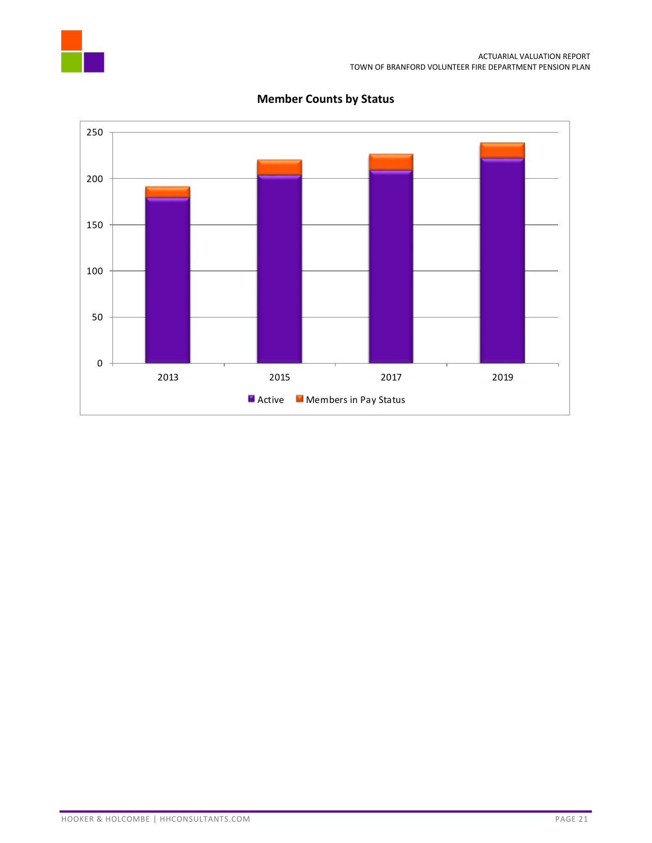



### **Member Counts by Status**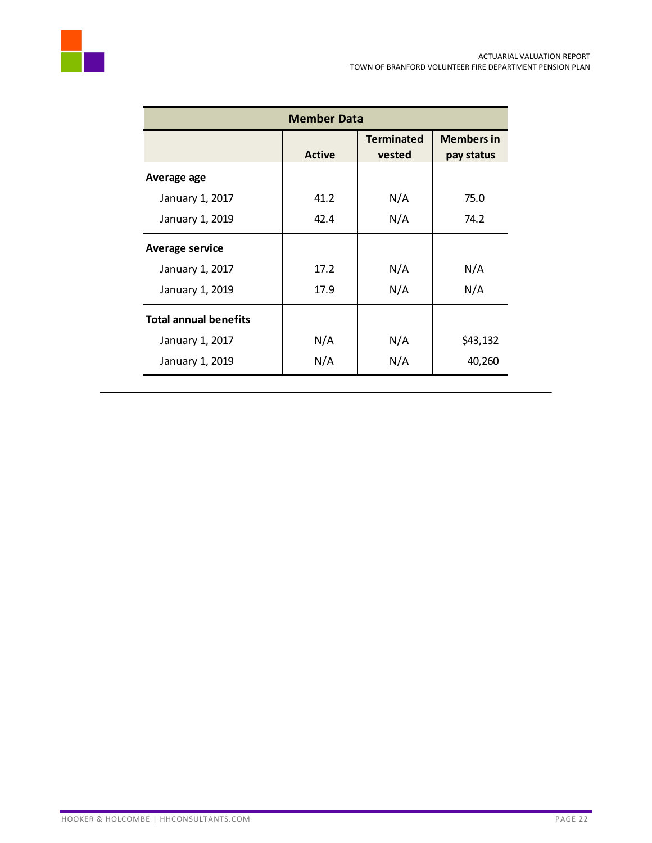| <b>Member Data</b>           |               |                             |                                 |  |  |
|------------------------------|---------------|-----------------------------|---------------------------------|--|--|
|                              | <b>Active</b> | <b>Terminated</b><br>vested | <b>Members in</b><br>pay status |  |  |
| Average age                  |               |                             |                                 |  |  |
| January 1, 2017              | 41.2          | N/A                         | 75.0                            |  |  |
| January 1, 2019              | 42.4          | N/A                         | 74.2                            |  |  |
| <b>Average service</b>       |               |                             |                                 |  |  |
| January 1, 2017              | 17.2          | N/A                         | N/A                             |  |  |
| January 1, 2019              | 17.9          | N/A                         | N/A                             |  |  |
| <b>Total annual benefits</b> |               |                             |                                 |  |  |
| January 1, 2017              | N/A           | N/A                         | \$43,132                        |  |  |
| January 1, 2019              | N/A           | N/A                         | 40,260                          |  |  |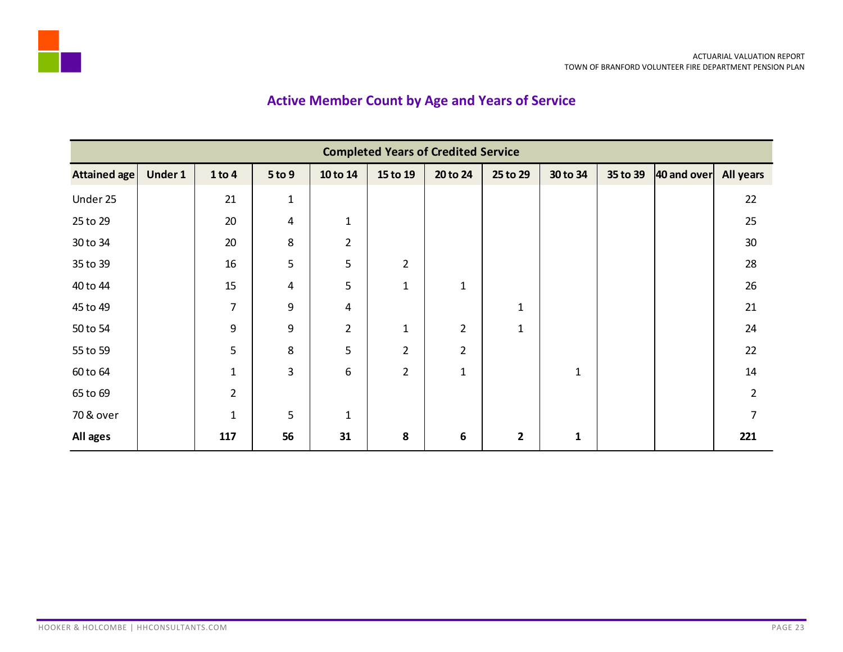# **Active Member Count by Age and Years of Service**

<span id="page-24-0"></span>

| <b>Completed Years of Credited Service</b> |         |                |                |                  |                |                |                |              |          |             |                  |
|--------------------------------------------|---------|----------------|----------------|------------------|----------------|----------------|----------------|--------------|----------|-------------|------------------|
| <b>Attained age</b>                        | Under 1 | 1 to 4         | 5 to 9         | 10 to 14         | 15 to 19       | 20 to 24       | 25 to 29       | 30 to 34     | 35 to 39 | 40 and over | <b>All years</b> |
| Under 25                                   |         | 21             | $\mathbf{1}$   |                  |                |                |                |              |          |             | 22               |
| 25 to 29                                   |         | 20             | 4              | $\mathbf{1}$     |                |                |                |              |          |             | 25               |
| 30 to 34                                   |         | 20             | 8              | $\overline{2}$   |                |                |                |              |          |             | 30               |
| 35 to 39                                   |         | 16             | 5              | 5                | $\overline{2}$ |                |                |              |          |             | 28               |
| 40 to 44                                   |         | 15             | $\overline{4}$ | 5                | $\mathbf{1}$   | $\mathbf{1}$   |                |              |          |             | 26               |
| 45 to 49                                   |         | $\overline{7}$ | 9              | 4                |                |                | $\mathbf 1$    |              |          |             | 21               |
| 50 to 54                                   |         | 9              | 9              | $\overline{2}$   | $\mathbf{1}$   | $\overline{2}$ | $\mathbf{1}$   |              |          |             | 24               |
| 55 to 59                                   |         | 5              | 8              | 5                | $\overline{2}$ | $\overline{2}$ |                |              |          |             | 22               |
| 60 to 64                                   |         | $\mathbf{1}$   | 3              | $\boldsymbol{6}$ | $\overline{2}$ | $\mathbf{1}$   |                | $\mathbf{1}$ |          |             | 14               |
| 65 to 69                                   |         | $\overline{2}$ |                |                  |                |                |                |              |          |             | $\overline{2}$   |
| 70 & over                                  |         | $\mathbf{1}$   | 5              | $\mathbf{1}$     |                |                |                |              |          |             | $\overline{7}$   |
| All ages                                   |         | 117            | 56             | 31               | 8              | 6              | $\overline{2}$ | $\mathbf{1}$ |          |             | 221              |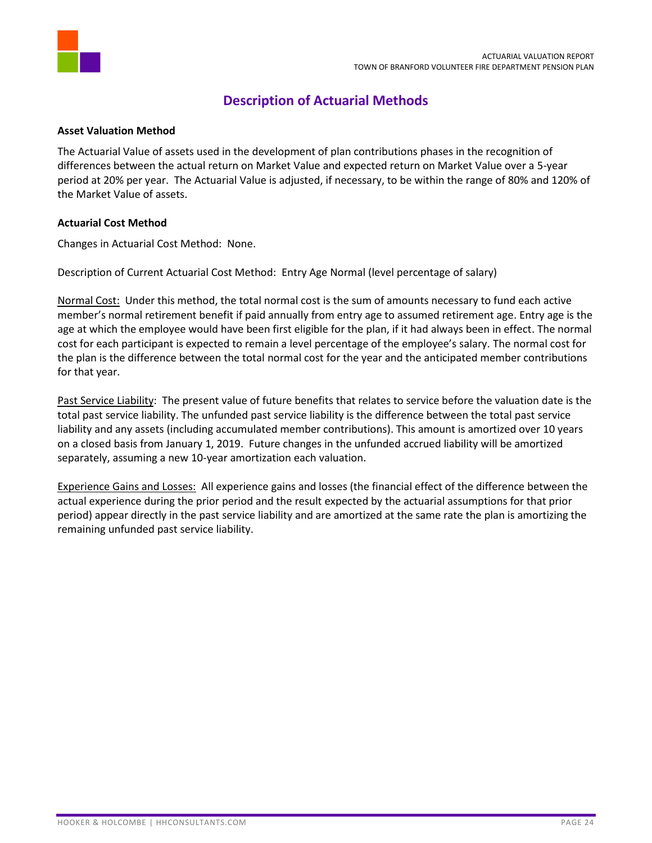

# **Description of Actuarial Methods**

#### <span id="page-25-0"></span>**Asset Valuation Method**

The Actuarial Value of assets used in the development of plan contributions phases in the recognition of differences between the actual return on Market Value and expected return on Market Value over a 5-year period at 20% per year. The Actuarial Value is adjusted, if necessary, to be within the range of 80% and 120% of the Market Value of assets.

#### **Actuarial Cost Method**

Changes in Actuarial Cost Method: None.

Description of Current Actuarial Cost Method: Entry Age Normal (level percentage of salary)

Normal Cost: Under this method, the total normal cost is the sum of amounts necessary to fund each active member's normal retirement benefit if paid annually from entry age to assumed retirement age. Entry age is the age at which the employee would have been first eligible for the plan, if it had always been in effect. The normal cost for each participant is expected to remain a level percentage of the employee's salary. The normal cost for the plan is the difference between the total normal cost for the year and the anticipated member contributions for that year.

Past Service Liability: The present value of future benefits that relates to service before the valuation date is the total past service liability. The unfunded past service liability is the difference between the total past service liability and any assets (including accumulated member contributions). This amount is amortized over 10 years on a closed basis from January 1, 2019. Future changes in the unfunded accrued liability will be amortized separately, assuming a new 10-year amortization each valuation.

Experience Gains and Losses: All experience gains and losses (the financial effect of the difference between the actual experience during the prior period and the result expected by the actuarial assumptions for that prior period) appear directly in the past service liability and are amortized at the same rate the plan is amortizing the remaining unfunded past service liability.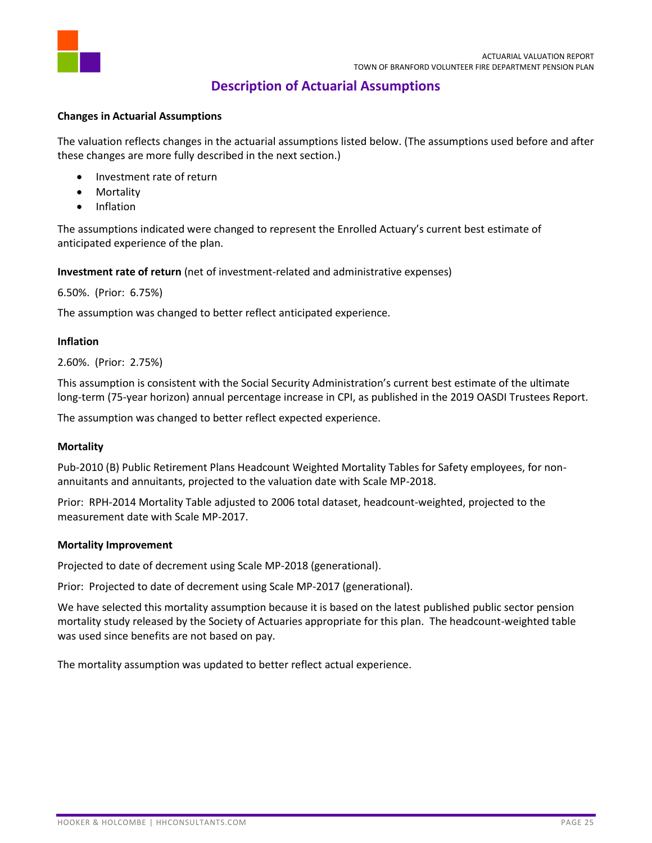

### **Description of Actuarial Assumptions**

#### <span id="page-26-0"></span>**Changes in Actuarial Assumptions**

The valuation reflects changes in the actuarial assumptions listed below. (The assumptions used before and after these changes are more fully described in the next section.)

- Investment rate of return
- Mortality
- Inflation

The assumptions indicated were changed to represent the Enrolled Actuary's current best estimate of anticipated experience of the plan.

**Investment rate of return** (net of investment-related and administrative expenses)

6.50%. (Prior: 6.75%)

The assumption was changed to better reflect anticipated experience.

#### **Inflation**

2.60%. (Prior: 2.75%)

This assumption is consistent with the Social Security Administration's current best estimate of the ultimate long-term (75-year horizon) annual percentage increase in CPI, as published in the 2019 OASDI Trustees Report.

The assumption was changed to better reflect expected experience.

#### **Mortality**

Pub-2010 (B) Public Retirement Plans Headcount Weighted Mortality Tables for Safety employees, for nonannuitants and annuitants, projected to the valuation date with Scale MP-2018.

Prior: RPH-2014 Mortality Table adjusted to 2006 total dataset, headcount-weighted, projected to the measurement date with Scale MP-2017.

#### **Mortality Improvement**

Projected to date of decrement using Scale MP-2018 (generational).

Prior: Projected to date of decrement using Scale MP-2017 (generational).

We have selected this mortality assumption because it is based on the latest published public sector pension mortality study released by the Society of Actuaries appropriate for this plan. The headcount-weighted table was used since benefits are not based on pay.

The mortality assumption was updated to better reflect actual experience.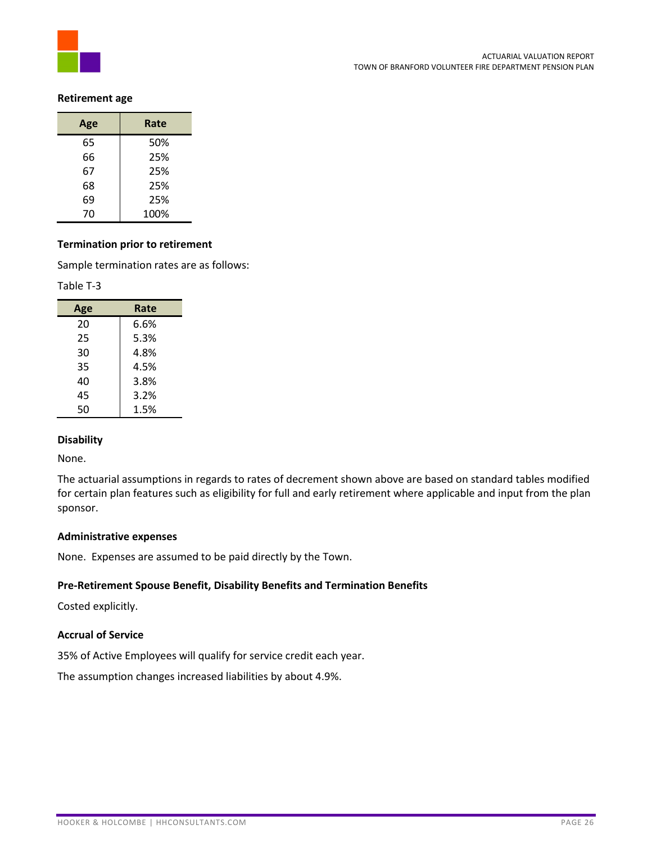

#### **Retirement age**

| Age | Rate |
|-----|------|
| 65  | 50%  |
| 66  | 25%  |
| 67  | 25%  |
| 68  | 25%  |
| 69  | 25%  |
| 70  | 100% |

#### **Termination prior to retirement**

Sample termination rates are as follows:

#### Table T-3

| Age | Rate |
|-----|------|
| 20  | 6.6% |
| 25  | 5.3% |
| 30  | 4.8% |
| 35  | 4.5% |
| 40  | 3.8% |
| 45  | 3.2% |
| 50  | 1.5% |

#### **Disability**

None.

The actuarial assumptions in regards to rates of decrement shown above are based on standard tables modified for certain plan features such as eligibility for full and early retirement where applicable and input from the plan sponsor.

#### **Administrative expenses**

None. Expenses are assumed to be paid directly by the Town.

#### **Pre-Retirement Spouse Benefit, Disability Benefits and Termination Benefits**

Costed explicitly.

#### **Accrual of Service**

35% of Active Employees will qualify for service credit each year.

The assumption changes increased liabilities by about 4.9%.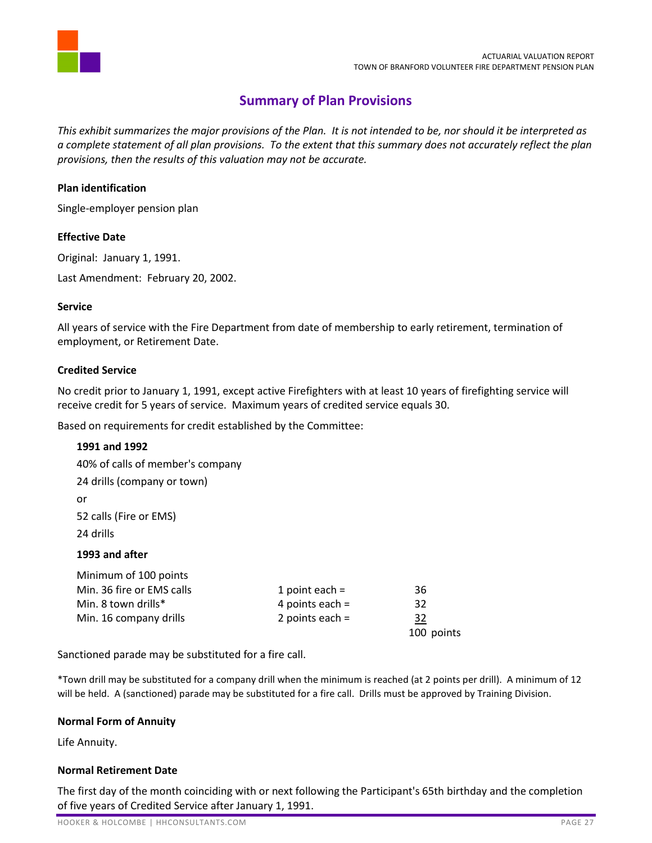

# **Summary of Plan Provisions**

<span id="page-28-0"></span>*This exhibit summarizes the major provisions of the Plan. It is not intended to be, nor should it be interpreted as a complete statement of all plan provisions. To the extent that this summary does not accurately reflect the plan provisions, then the results of this valuation may not be accurate.* 

#### **Plan identification**

Single-employer pension plan

#### **Effective Date**

Original: January 1, 1991.

Last Amendment: February 20, 2002.

#### **Service**

All years of service with the Fire Department from date of membership to early retirement, termination of employment, or Retirement Date.

#### **Credited Service**

No credit prior to January 1, 1991, except active Firefighters with at least 10 years of firefighting service will receive credit for 5 years of service. Maximum years of credited service equals 30.

Based on requirements for credit established by the Committee:

#### **1991 and 1992**

40% of calls of member's company 24 drills (company or town) or 52 calls (Fire or EMS) 24 drills **1993 and after**

| Minimum of 100 points     |                   |            |
|---------------------------|-------------------|------------|
| Min. 36 fire or EMS calls | 1 point each $=$  | 36         |
| Min. 8 town drills*       | 4 points each $=$ | 32         |
| Min. 16 company drills    | 2 points each $=$ | 32         |
|                           |                   | 100 points |

Sanctioned parade may be substituted for a fire call.

\*Town drill may be substituted for a company drill when the minimum is reached (at 2 points per drill). A minimum of 12 will be held. A (sanctioned) parade may be substituted for a fire call. Drills must be approved by Training Division.

#### **Normal Form of Annuity**

Life Annuity.

#### **Normal Retirement Date**

The first day of the month coinciding with or next following the Participant's 65th birthday and the completion of five years of Credited Service after January 1, 1991.